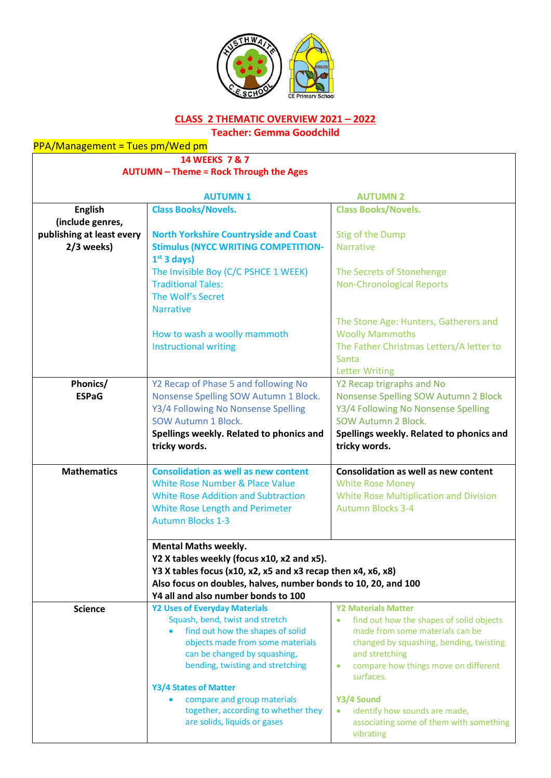

# **CLASS 2 THEMATIC OVERVIEW 2021 – 2022**

**Teacher: Gemma Goodchild**

**14 WEEKS 7 & 7**

**AUTUMN – Theme = Rock Through the Ages**

|                                    | <b>AUTUMN1</b>                                                 | <b>AUTUMN 2</b>                                                |
|------------------------------------|----------------------------------------------------------------|----------------------------------------------------------------|
| <b>English</b><br>(include genres, | <b>Class Books/Novels.</b>                                     | <b>Class Books/Novels.</b>                                     |
| publishing at least every          | <b>North Yorkshire Countryside and Coast</b>                   | Stig of the Dump                                               |
| 2/3 weeks)                         | <b>Stimulus (NYCC WRITING COMPETITION-</b>                     | <b>Narrative</b>                                               |
|                                    | $1st$ 3 days)                                                  |                                                                |
|                                    | The Invisible Boy (C/C PSHCE 1 WEEK)                           | The Secrets of Stonehenge                                      |
|                                    | <b>Traditional Tales:</b>                                      | <b>Non-Chronological Reports</b>                               |
|                                    | The Wolf's Secret                                              |                                                                |
|                                    | <b>Narrative</b>                                               |                                                                |
|                                    |                                                                | The Stone Age: Hunters, Gatherers and                          |
|                                    | How to wash a woolly mammoth                                   | <b>Woolly Mammoths</b>                                         |
|                                    | <b>Instructional writing</b>                                   | The Father Christmas Letters/A letter to                       |
|                                    |                                                                | Santa                                                          |
|                                    |                                                                | <b>Letter Writing</b>                                          |
| Phonics/                           | Y2 Recap of Phase 5 and following No                           | Y2 Recap trigraphs and No                                      |
| <b>ESPaG</b>                       | Nonsense Spelling SOW Autumn 1 Block.                          | Nonsense Spelling SOW Autumn 2 Block                           |
|                                    | Y3/4 Following No Nonsense Spelling                            | Y3/4 Following No Nonsense Spelling                            |
|                                    | <b>SOW Autumn 1 Block.</b>                                     | SOW Autumn 2 Block.                                            |
|                                    | Spellings weekly. Related to phonics and                       | Spellings weekly. Related to phonics and                       |
|                                    | tricky words.                                                  | tricky words.                                                  |
|                                    |                                                                |                                                                |
| <b>Mathematics</b>                 | <b>Consolidation as well as new content</b>                    | <b>Consolidation as well as new content</b>                    |
|                                    | <b>White Rose Number &amp; Place Value</b>                     | <b>White Rose Money</b>                                        |
|                                    | <b>White Rose Addition and Subtraction</b>                     | <b>White Rose Multiplication and Division</b>                  |
|                                    | <b>White Rose Length and Perimeter</b>                         | <b>Autumn Blocks 3-4</b>                                       |
|                                    | <b>Autumn Blocks 1-3</b>                                       |                                                                |
|                                    | <b>Mental Maths weekly.</b>                                    |                                                                |
|                                    | Y2 X tables weekly (focus x10, x2 and x5).                     |                                                                |
|                                    | Y3 X tables focus (x10, x2, x5 and x3 recap then x4, x6, x8)   |                                                                |
|                                    | Also focus on doubles, halves, number bonds to 10, 20, and 100 |                                                                |
|                                    | Y4 all and also number bonds to 100                            |                                                                |
| <b>Science</b>                     | <b>Y2 Uses of Everyday Materials</b>                           | <b>Y2 Materials Matter</b>                                     |
|                                    | Squash, bend, twist and stretch                                | find out how the shapes of solid objects<br>$\bullet$          |
|                                    | find out how the shapes of solid                               | made from some materials can be                                |
|                                    | objects made from some materials                               | changed by squashing, bending, twisting                        |
|                                    | can be changed by squashing,                                   | and stretching                                                 |
|                                    | bending, twisting and stretching                               | compare how things move on different<br>$\bullet$<br>surfaces. |
|                                    | Y3/4 States of Matter                                          |                                                                |
|                                    | compare and group materials                                    | Y3/4 Sound                                                     |
|                                    | together, according to whether they                            | identify how sounds are made,<br>$\bullet$                     |
|                                    | are solids, liquids or gases                                   | associating some of them with something                        |
|                                    |                                                                | vibrating                                                      |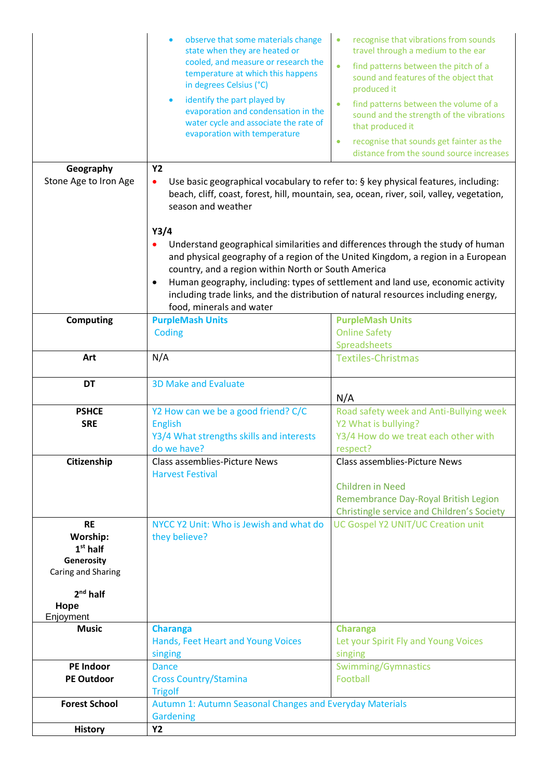|                                                                                                            | observe that some materials change<br>state when they are heated or<br>cooled, and measure or research the<br>temperature at which this happens<br>in degrees Celsius (°C)<br>identify the part played by<br>$\bullet$<br>evaporation and condensation in the<br>water cycle and associate the rate of<br>evaporation with temperature | recognise that vibrations from sounds<br>$\bullet$<br>travel through a medium to the ear<br>find patterns between the pitch of a<br>$\bullet$<br>sound and features of the object that<br>produced it<br>find patterns between the volume of a<br>$\bullet$<br>sound and the strength of the vibrations<br>that produced it<br>recognise that sounds get fainter as the<br>$\bullet$<br>distance from the sound source increases |
|------------------------------------------------------------------------------------------------------------|----------------------------------------------------------------------------------------------------------------------------------------------------------------------------------------------------------------------------------------------------------------------------------------------------------------------------------------|----------------------------------------------------------------------------------------------------------------------------------------------------------------------------------------------------------------------------------------------------------------------------------------------------------------------------------------------------------------------------------------------------------------------------------|
| Geography<br>Stone Age to Iron Age                                                                         | <b>Y2</b><br>Use basic geographical vocabulary to refer to: § key physical features, including:<br>٠<br>beach, cliff, coast, forest, hill, mountain, sea, ocean, river, soil, valley, vegetation,<br>season and weather<br>Y3/4                                                                                                        |                                                                                                                                                                                                                                                                                                                                                                                                                                  |
|                                                                                                            | country, and a region within North or South America<br>food, minerals and water                                                                                                                                                                                                                                                        | Understand geographical similarities and differences through the study of human<br>and physical geography of a region of the United Kingdom, a region in a European<br>Human geography, including: types of settlement and land use, economic activity<br>including trade links, and the distribution of natural resources including energy,                                                                                     |
| <b>Computing</b>                                                                                           | <b>PurpleMash Units</b><br>Coding                                                                                                                                                                                                                                                                                                      | <b>PurpleMash Units</b><br><b>Online Safety</b><br>Spreadsheets                                                                                                                                                                                                                                                                                                                                                                  |
| Art                                                                                                        | N/A                                                                                                                                                                                                                                                                                                                                    |                                                                                                                                                                                                                                                                                                                                                                                                                                  |
|                                                                                                            |                                                                                                                                                                                                                                                                                                                                        | <b>Textiles-Christmas</b>                                                                                                                                                                                                                                                                                                                                                                                                        |
| <b>DT</b>                                                                                                  | <b>3D Make and Evaluate</b>                                                                                                                                                                                                                                                                                                            | N/A                                                                                                                                                                                                                                                                                                                                                                                                                              |
| <b>PSHCE</b><br><b>SRE</b>                                                                                 | Y2 How can we be a good friend? C/C<br><b>English</b><br>Y3/4 What strengths skills and interests<br>do we have?                                                                                                                                                                                                                       | Road safety week and Anti-Bullying week<br>Y2 What is bullying?<br>Y3/4 How do we treat each other with<br>respect?                                                                                                                                                                                                                                                                                                              |
| Citizenship                                                                                                | Class assemblies-Picture News<br><b>Harvest Festival</b>                                                                                                                                                                                                                                                                               | Class assemblies-Picture News<br><b>Children in Need</b><br>Remembrance Day-Royal British Legion<br><b>Christingle service and Children's Society</b>                                                                                                                                                                                                                                                                            |
| <b>RE</b><br>Worship:<br>$1st$ half<br>Generosity<br>Caring and Sharing<br>$2nd$ half<br>Hope<br>Enjoyment | NYCC Y2 Unit: Who is Jewish and what do<br>they believe?                                                                                                                                                                                                                                                                               | UC Gospel Y2 UNIT/UC Creation unit                                                                                                                                                                                                                                                                                                                                                                                               |
| <b>Music</b>                                                                                               | <b>Charanga</b><br>Hands, Feet Heart and Young Voices<br>singing                                                                                                                                                                                                                                                                       | <b>Charanga</b><br>Let your Spirit Fly and Young Voices<br>singing                                                                                                                                                                                                                                                                                                                                                               |
| <b>PE Indoor</b><br><b>PE Outdoor</b>                                                                      | <b>Dance</b><br><b>Cross Country/Stamina</b><br><b>Trigolf</b>                                                                                                                                                                                                                                                                         | <b>Swimming/Gymnastics</b><br>Football                                                                                                                                                                                                                                                                                                                                                                                           |
| <b>Forest School</b>                                                                                       | Autumn 1: Autumn Seasonal Changes and Everyday Materials<br><b>Gardening</b>                                                                                                                                                                                                                                                           |                                                                                                                                                                                                                                                                                                                                                                                                                                  |
| <b>History</b>                                                                                             | <b>Y2</b>                                                                                                                                                                                                                                                                                                                              |                                                                                                                                                                                                                                                                                                                                                                                                                                  |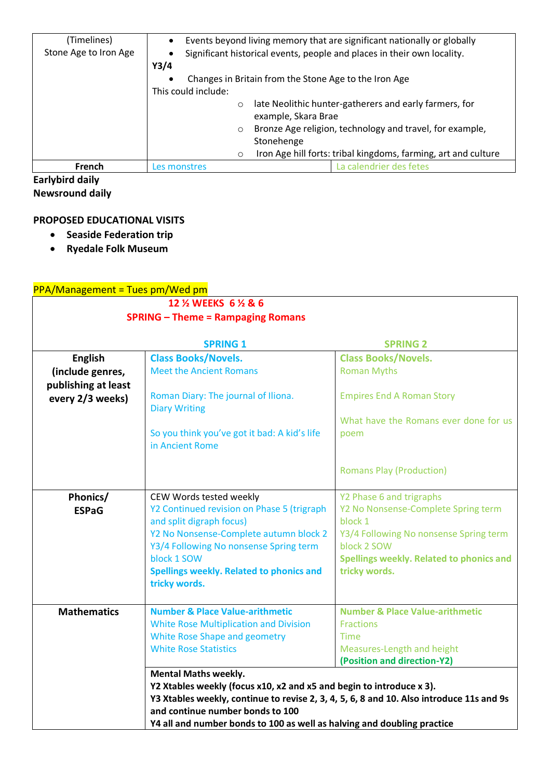| (Timelines)<br>Stone Age to Iron Age | Events beyond living memory that are significant nationally or globally<br>$\bullet$<br>Significant historical events, people and places in their own locality.<br>Y3/4<br>Changes in Britain from the Stone Age to the Iron Age<br>This could include: |                                   |                                                                                                                                                                                      |
|--------------------------------------|---------------------------------------------------------------------------------------------------------------------------------------------------------------------------------------------------------------------------------------------------------|-----------------------------------|--------------------------------------------------------------------------------------------------------------------------------------------------------------------------------------|
|                                      | $\circ$<br>$\circ$<br>$\circ$                                                                                                                                                                                                                           | example, Skara Brae<br>Stonehenge | late Neolithic hunter-gatherers and early farmers, for<br>Bronze Age religion, technology and travel, for example,<br>Iron Age hill forts: tribal kingdoms, farming, art and culture |
| French                               | Les monstres                                                                                                                                                                                                                                            |                                   | La calendrier des fetes                                                                                                                                                              |

**Earlybird daily Newsround daily**

#### **PROPOSED EDUCATIONAL VISITS**

- **Seaside Federation trip**
- **Ryedale Folk Museum**

### $PPA/M$ anagement = Tues pm/Wed pm

| <u>179 Briding Chichte - Facs philisted phil</u><br>12 % WEEKS 6 % & 6<br><b>SPRING - Theme = Rampaging Romans</b> |                                                                                          |                                               |  |
|--------------------------------------------------------------------------------------------------------------------|------------------------------------------------------------------------------------------|-----------------------------------------------|--|
|                                                                                                                    | <b>SPRING 1</b>                                                                          | <b>SPRING 2</b>                               |  |
| <b>English</b>                                                                                                     | <b>Class Books/Novels.</b>                                                               | <b>Class Books/Novels.</b>                    |  |
| (include genres,<br>publishing at least                                                                            | <b>Meet the Ancient Romans</b>                                                           | <b>Roman Myths</b>                            |  |
| every 2/3 weeks)                                                                                                   | Roman Diary: The journal of Iliona.<br><b>Diary Writing</b>                              | <b>Empires End A Roman Story</b>              |  |
|                                                                                                                    | So you think you've got it bad: A kid's life<br>in Ancient Rome                          | What have the Romans ever done for us<br>poem |  |
|                                                                                                                    |                                                                                          | <b>Romans Play (Production)</b>               |  |
| Phonics/                                                                                                           | CEW Words tested weekly                                                                  | Y2 Phase 6 and trigraphs                      |  |
| <b>ESPaG</b>                                                                                                       | Y2 Continued revision on Phase 5 (trigraph                                               | Y2 No Nonsense-Complete Spring term           |  |
|                                                                                                                    | and split digraph focus)                                                                 | block 1                                       |  |
|                                                                                                                    | Y2 No Nonsense-Complete autumn block 2                                                   | Y3/4 Following No nonsense Spring term        |  |
|                                                                                                                    | Y3/4 Following No nonsense Spring term                                                   | block 2 SOW                                   |  |
|                                                                                                                    | block 1 SOW                                                                              | Spellings weekly. Related to phonics and      |  |
|                                                                                                                    | Spellings weekly. Related to phonics and<br>tricky words.                                | tricky words.                                 |  |
| <b>Mathematics</b>                                                                                                 | <b>Number &amp; Place Value-arithmetic</b>                                               | <b>Number &amp; Place Value-arithmetic</b>    |  |
|                                                                                                                    | <b>White Rose Multiplication and Division</b>                                            | <b>Fractions</b>                              |  |
|                                                                                                                    | White Rose Shape and geometry                                                            | <b>Time</b>                                   |  |
|                                                                                                                    | <b>White Rose Statistics</b>                                                             | Measures-Length and height                    |  |
|                                                                                                                    |                                                                                          | (Position and direction-Y2)                   |  |
|                                                                                                                    | <b>Mental Maths weekly.</b>                                                              |                                               |  |
|                                                                                                                    | Y2 Xtables weekly (focus x10, x2 and x5 and begin to introduce x 3).                     |                                               |  |
|                                                                                                                    | Y3 Xtables weekly, continue to revise 2, 3, 4, 5, 6, 8 and 10. Also introduce 11s and 9s |                                               |  |
|                                                                                                                    | and continue number bonds to 100                                                         |                                               |  |
|                                                                                                                    | Y4 all and number bonds to 100 as well as halving and doubling practice                  |                                               |  |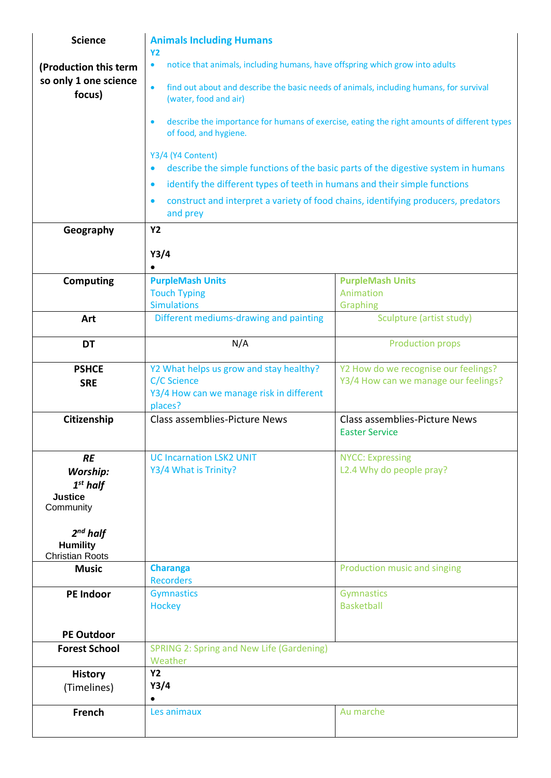| <b>Science</b>                                             | <b>Animals Including Humans</b>                                                                                                   |                                                        |  |
|------------------------------------------------------------|-----------------------------------------------------------------------------------------------------------------------------------|--------------------------------------------------------|--|
|                                                            | <b>Y2</b><br>notice that animals, including humans, have offspring which grow into adults<br>$\bullet$                            |                                                        |  |
| (Production this term<br>so only 1 one science             |                                                                                                                                   |                                                        |  |
| focus)                                                     | find out about and describe the basic needs of animals, including humans, for survival<br>$\bullet$<br>(water, food and air)      |                                                        |  |
|                                                            | describe the importance for humans of exercise, eating the right amounts of different types<br>$\bullet$<br>of food, and hygiene. |                                                        |  |
|                                                            | Y3/4 (Y4 Content)<br>describe the simple functions of the basic parts of the digestive system in humans<br>$\bullet$              |                                                        |  |
|                                                            | identify the different types of teeth in humans and their simple functions<br>$\bullet$                                           |                                                        |  |
|                                                            | construct and interpret a variety of food chains, identifying producers, predators<br>$\bullet$                                   |                                                        |  |
|                                                            | and prey                                                                                                                          |                                                        |  |
| Geography                                                  | <b>Y2</b>                                                                                                                         |                                                        |  |
|                                                            | Y3/4                                                                                                                              |                                                        |  |
|                                                            | $\bullet$                                                                                                                         |                                                        |  |
| <b>Computing</b>                                           | <b>PurpleMash Units</b>                                                                                                           | <b>PurpleMash Units</b>                                |  |
|                                                            | <b>Touch Typing</b>                                                                                                               | Animation                                              |  |
| Art                                                        | <b>Simulations</b><br>Different mediums-drawing and painting                                                                      | Graphing<br>Sculpture (artist study)                   |  |
|                                                            |                                                                                                                                   |                                                        |  |
| <b>DT</b>                                                  | N/A                                                                                                                               | <b>Production props</b>                                |  |
| <b>PSHCE</b>                                               | Y2 What helps us grow and stay healthy?                                                                                           | Y2 How do we recognise our feelings?                   |  |
| <b>SRE</b>                                                 | <b>C/C Science</b><br>Y3/4 How can we manage risk in different                                                                    | Y3/4 How can we manage our feelings?                   |  |
|                                                            | places?                                                                                                                           |                                                        |  |
| Citizenship                                                | Class assemblies-Picture News                                                                                                     | Class assemblies-Picture News<br><b>Easter Service</b> |  |
| <b>RE</b>                                                  | <b>UC Incarnation LSK2 UNIT</b>                                                                                                   | <b>NYCC: Expressing</b>                                |  |
| <b>Worship:</b>                                            | Y3/4 What is Trinity?                                                                                                             | L2.4 Why do people pray?                               |  |
| $1st$ half                                                 |                                                                                                                                   |                                                        |  |
| <b>Justice</b><br>Community                                |                                                                                                                                   |                                                        |  |
| $2^{nd}$ half<br><b>Humility</b><br><b>Christian Roots</b> |                                                                                                                                   |                                                        |  |
| <b>Music</b>                                               | <b>Charanga</b><br><b>Recorders</b>                                                                                               | Production music and singing                           |  |
| <b>PE Indoor</b>                                           | <b>Gymnastics</b>                                                                                                                 | Gymnastics                                             |  |
|                                                            | <b>Hockey</b>                                                                                                                     | <b>Basketball</b>                                      |  |
| <b>PE Outdoor</b>                                          |                                                                                                                                   |                                                        |  |
| <b>Forest School</b>                                       | <b>SPRING 2: Spring and New Life (Gardening)</b>                                                                                  |                                                        |  |
|                                                            | Weather                                                                                                                           |                                                        |  |
| <b>History</b>                                             | <b>Y2</b>                                                                                                                         |                                                        |  |
| (Timelines)                                                | Y3/4<br>$\bullet$                                                                                                                 |                                                        |  |
| <b>French</b>                                              | Les animaux                                                                                                                       | Au marche                                              |  |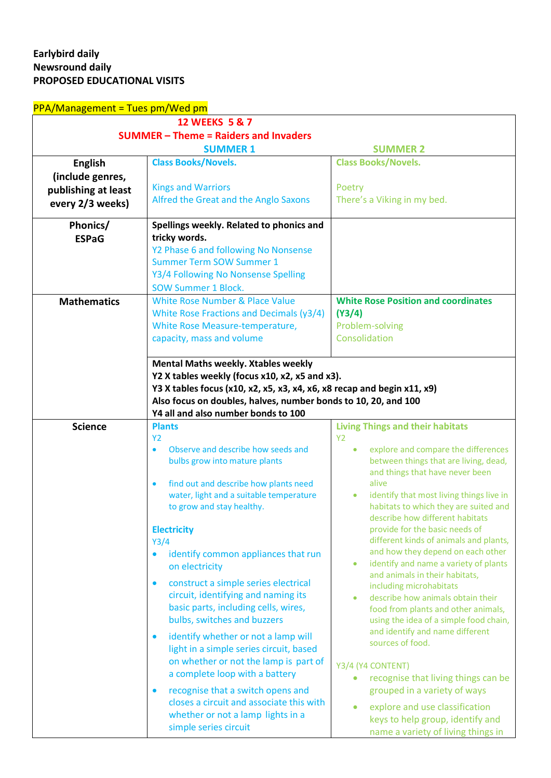## **Earlybird daily Newsround daily PROPOSED EDUCATIONAL VISITS**

| <b>PPA/Management = Tues pm/Wed pm</b> |                                                                         |                                                                          |
|----------------------------------------|-------------------------------------------------------------------------|--------------------------------------------------------------------------|
|                                        | <b>12 WEEKS 5 &amp; 7</b>                                               |                                                                          |
|                                        | <b>SUMMER - Theme = Raiders and Invaders</b>                            |                                                                          |
|                                        | <b>SUMMER 1</b>                                                         | <b>SUMMER 2</b>                                                          |
| <b>English</b>                         | <b>Class Books/Novels.</b>                                              | <b>Class Books/Novels.</b>                                               |
| (include genres,                       |                                                                         |                                                                          |
| publishing at least                    | <b>Kings and Warriors</b>                                               | Poetry                                                                   |
| every 2/3 weeks)                       | Alfred the Great and the Anglo Saxons                                   | There's a Viking in my bed.                                              |
|                                        |                                                                         |                                                                          |
| Phonics/                               | Spellings weekly. Related to phonics and                                |                                                                          |
| <b>ESPaG</b>                           | tricky words.                                                           |                                                                          |
|                                        | Y2 Phase 6 and following No Nonsense                                    |                                                                          |
|                                        | <b>Summer Term SOW Summer 1</b>                                         |                                                                          |
|                                        | Y3/4 Following No Nonsense Spelling                                     |                                                                          |
|                                        | <b>SOW Summer 1 Block.</b>                                              |                                                                          |
| <b>Mathematics</b>                     | <b>White Rose Number &amp; Place Value</b>                              | <b>White Rose Position and coordinates</b>                               |
|                                        | White Rose Fractions and Decimals (y3/4)                                | (Y3/4)                                                                   |
|                                        | White Rose Measure-temperature,                                         | Problem-solving                                                          |
|                                        | capacity, mass and volume                                               | Consolidation                                                            |
|                                        |                                                                         |                                                                          |
|                                        | <b>Mental Maths weekly. Xtables weekly</b>                              |                                                                          |
|                                        | Y2 X tables weekly (focus x10, x2, x5 and x3).                          |                                                                          |
|                                        | Y3 X tables focus (x10, x2, x5, x3, x4, x6, x8 recap and begin x11, x9) |                                                                          |
|                                        | Also focus on doubles, halves, number bonds to 10, 20, and 100          |                                                                          |
|                                        | Y4 all and also number bonds to 100                                     |                                                                          |
| <b>Science</b>                         | <b>Plants</b><br><b>Y2</b>                                              | <b>Living Things and their habitats</b><br><b>Y2</b>                     |
|                                        | Observe and describe how seeds and<br>$\bullet$                         | explore and compare the differences<br>$\bullet$                         |
|                                        | bulbs grow into mature plants                                           | between things that are living, dead,                                    |
|                                        |                                                                         | and things that have never been                                          |
|                                        | find out and describe how plants need<br>$\bullet$                      | alive                                                                    |
|                                        | water, light and a suitable temperature                                 | identify that most living things live in<br>۰                            |
|                                        | to grow and stay healthy.                                               | habitats to which they are suited and                                    |
|                                        |                                                                         | describe how different habitats                                          |
|                                        | <b>Electricity</b><br>Y3/4                                              | provide for the basic needs of<br>different kinds of animals and plants, |
|                                        | identify common appliances that run<br>$\bullet$                        | and how they depend on each other                                        |
|                                        | on electricity                                                          | identify and name a variety of plants<br>$\bullet$                       |
|                                        |                                                                         | and animals in their habitats,                                           |
|                                        |                                                                         |                                                                          |
|                                        | construct a simple series electrical<br>$\bullet$                       | including microhabitats                                                  |
|                                        | circuit, identifying and naming its                                     | describe how animals obtain their                                        |
|                                        | basic parts, including cells, wires,                                    | food from plants and other animals,                                      |
|                                        | bulbs, switches and buzzers                                             | using the idea of a simple food chain,                                   |
|                                        | identify whether or not a lamp will<br>$\bullet$                        | and identify and name different                                          |
|                                        | light in a simple series circuit, based                                 | sources of food.                                                         |
|                                        | on whether or not the lamp is part of                                   | Y3/4 (Y4 CONTENT)                                                        |
|                                        | a complete loop with a battery                                          | recognise that living things can be<br>$\bullet$                         |
|                                        | recognise that a switch opens and<br>$\bullet$                          | grouped in a variety of ways                                             |
|                                        | closes a circuit and associate this with                                |                                                                          |
|                                        | whether or not a lamp lights in a                                       | explore and use classification<br>keys to help group, identify and       |